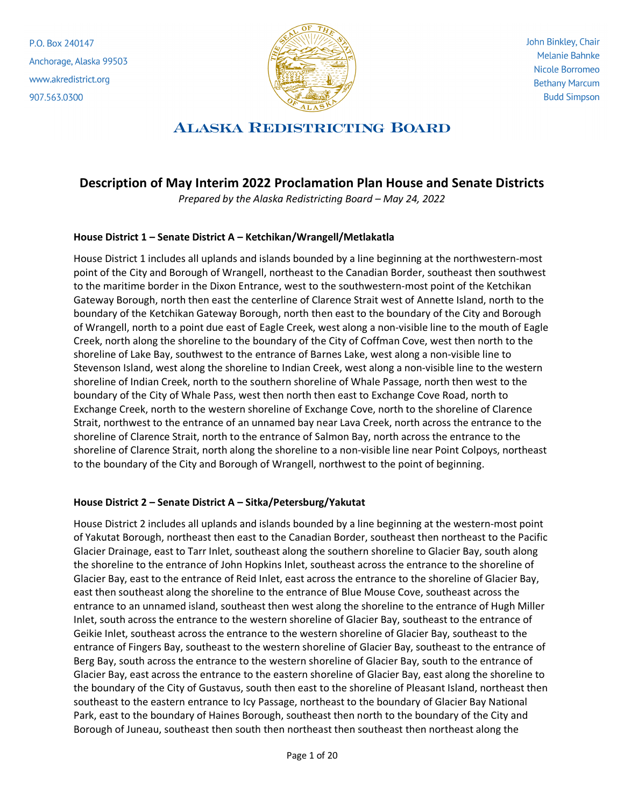P.O. Box 240147 Anchorage, Alaska 99503 www.akredistrict.org 907.563.0300



John Binkley, Chair **Melanie Bahnke** Nicole Borromeo **Bethany Marcum Budd Simpson** 

# **ALASKA REDISTRICTING BOARD**

## **Description of May Interim 2022 Proclamation Plan House and Senate Districts**

*Prepared by the Alaska Redistricting Board – May 24, 2022*

#### **House District 1 – Senate District A – Ketchikan/Wrangell/Metlakatla**

House District 1 includes all uplands and islands bounded by a line beginning at the northwestern-most point of the City and Borough of Wrangell, northeast to the Canadian Border, southeast then southwest to the maritime border in the Dixon Entrance, west to the southwestern-most point of the Ketchikan Gateway Borough, north then east the centerline of Clarence Strait west of Annette Island, north to the boundary of the Ketchikan Gateway Borough, north then east to the boundary of the City and Borough of Wrangell, north to a point due east of Eagle Creek, west along a non-visible line to the mouth of Eagle Creek, north along the shoreline to the boundary of the City of Coffman Cove, west then north to the shoreline of Lake Bay, southwest to the entrance of Barnes Lake, west along a non-visible line to Stevenson Island, west along the shoreline to Indian Creek, west along a non-visible line to the western shoreline of Indian Creek, north to the southern shoreline of Whale Passage, north then west to the boundary of the City of Whale Pass, west then north then east to Exchange Cove Road, north to Exchange Creek, north to the western shoreline of Exchange Cove, north to the shoreline of Clarence Strait, northwest to the entrance of an unnamed bay near Lava Creek, north across the entrance to the shoreline of Clarence Strait, north to the entrance of Salmon Bay, north across the entrance to the shoreline of Clarence Strait, north along the shoreline to a non-visible line near Point Colpoys, northeast to the boundary of the City and Borough of Wrangell, northwest to the point of beginning.

#### **House District 2 – Senate District A – Sitka/Petersburg/Yakutat**

House District 2 includes all uplands and islands bounded by a line beginning at the western-most point of Yakutat Borough, northeast then east to the Canadian Border, southeast then northeast to the Pacific Glacier Drainage, east to Tarr Inlet, southeast along the southern shoreline to Glacier Bay, south along the shoreline to the entrance of John Hopkins Inlet, southeast across the entrance to the shoreline of Glacier Bay, east to the entrance of Reid Inlet, east across the entrance to the shoreline of Glacier Bay, east then southeast along the shoreline to the entrance of Blue Mouse Cove, southeast across the entrance to an unnamed island, southeast then west along the shoreline to the entrance of Hugh Miller Inlet, south across the entrance to the western shoreline of Glacier Bay, southeast to the entrance of Geikie Inlet, southeast across the entrance to the western shoreline of Glacier Bay, southeast to the entrance of Fingers Bay, southeast to the western shoreline of Glacier Bay, southeast to the entrance of Berg Bay, south across the entrance to the western shoreline of Glacier Bay, south to the entrance of Glacier Bay, east across the entrance to the eastern shoreline of Glacier Bay, east along the shoreline to the boundary of the City of Gustavus, south then east to the shoreline of Pleasant Island, northeast then southeast to the eastern entrance to Icy Passage, northeast to the boundary of Glacier Bay National Park, east to the boundary of Haines Borough, southeast then north to the boundary of the City and Borough of Juneau, southeast then south then northeast then southeast then northeast along the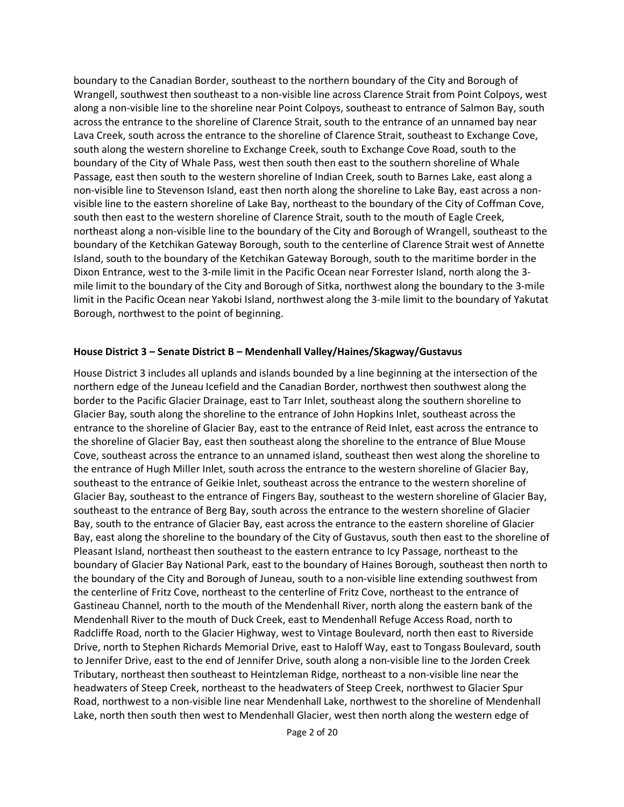boundary to the Canadian Border, southeast to the northern boundary of the City and Borough of Wrangell, southwest then southeast to a non-visible line across Clarence Strait from Point Colpoys, west along a non-visible line to the shoreline near Point Colpoys, southeast to entrance of Salmon Bay, south across the entrance to the shoreline of Clarence Strait, south to the entrance of an unnamed bay near Lava Creek, south across the entrance to the shoreline of Clarence Strait, southeast to Exchange Cove, south along the western shoreline to Exchange Creek, south to Exchange Cove Road, south to the boundary of the City of Whale Pass, west then south then east to the southern shoreline of Whale Passage, east then south to the western shoreline of Indian Creek, south to Barnes Lake, east along a non-visible line to Stevenson Island, east then north along the shoreline to Lake Bay, east across a nonvisible line to the eastern shoreline of Lake Bay, northeast to the boundary of the City of Coffman Cove, south then east to the western shoreline of Clarence Strait, south to the mouth of Eagle Creek, northeast along a non-visible line to the boundary of the City and Borough of Wrangell, southeast to the boundary of the Ketchikan Gateway Borough, south to the centerline of Clarence Strait west of Annette Island, south to the boundary of the Ketchikan Gateway Borough, south to the maritime border in the Dixon Entrance, west to the 3-mile limit in the Pacific Ocean near Forrester Island, north along the 3 mile limit to the boundary of the City and Borough of Sitka, northwest along the boundary to the 3-mile limit in the Pacific Ocean near Yakobi Island, northwest along the 3-mile limit to the boundary of Yakutat Borough, northwest to the point of beginning.

#### **House District 3 – Senate District B – Mendenhall Valley/Haines/Skagway/Gustavus**

House District 3 includes all uplands and islands bounded by a line beginning at the intersection of the northern edge of the Juneau Icefield and the Canadian Border, northwest then southwest along the border to the Pacific Glacier Drainage, east to Tarr Inlet, southeast along the southern shoreline to Glacier Bay, south along the shoreline to the entrance of John Hopkins Inlet, southeast across the entrance to the shoreline of Glacier Bay, east to the entrance of Reid Inlet, east across the entrance to the shoreline of Glacier Bay, east then southeast along the shoreline to the entrance of Blue Mouse Cove, southeast across the entrance to an unnamed island, southeast then west along the shoreline to the entrance of Hugh Miller Inlet, south across the entrance to the western shoreline of Glacier Bay, southeast to the entrance of Geikie Inlet, southeast across the entrance to the western shoreline of Glacier Bay, southeast to the entrance of Fingers Bay, southeast to the western shoreline of Glacier Bay, southeast to the entrance of Berg Bay, south across the entrance to the western shoreline of Glacier Bay, south to the entrance of Glacier Bay, east across the entrance to the eastern shoreline of Glacier Bay, east along the shoreline to the boundary of the City of Gustavus, south then east to the shoreline of Pleasant Island, northeast then southeast to the eastern entrance to Icy Passage, northeast to the boundary of Glacier Bay National Park, east to the boundary of Haines Borough, southeast then north to the boundary of the City and Borough of Juneau, south to a non-visible line extending southwest from the centerline of Fritz Cove, northeast to the centerline of Fritz Cove, northeast to the entrance of Gastineau Channel, north to the mouth of the Mendenhall River, north along the eastern bank of the Mendenhall River to the mouth of Duck Creek, east to Mendenhall Refuge Access Road, north to Radcliffe Road, north to the Glacier Highway, west to Vintage Boulevard, north then east to Riverside Drive, north to Stephen Richards Memorial Drive, east to Haloff Way, east to Tongass Boulevard, south to Jennifer Drive, east to the end of Jennifer Drive, south along a non-visible line to the Jorden Creek Tributary, northeast then southeast to Heintzleman Ridge, northeast to a non-visible line near the headwaters of Steep Creek, northeast to the headwaters of Steep Creek, northwest to Glacier Spur Road, northwest to a non-visible line near Mendenhall Lake, northwest to the shoreline of Mendenhall Lake, north then south then west to Mendenhall Glacier, west then north along the western edge of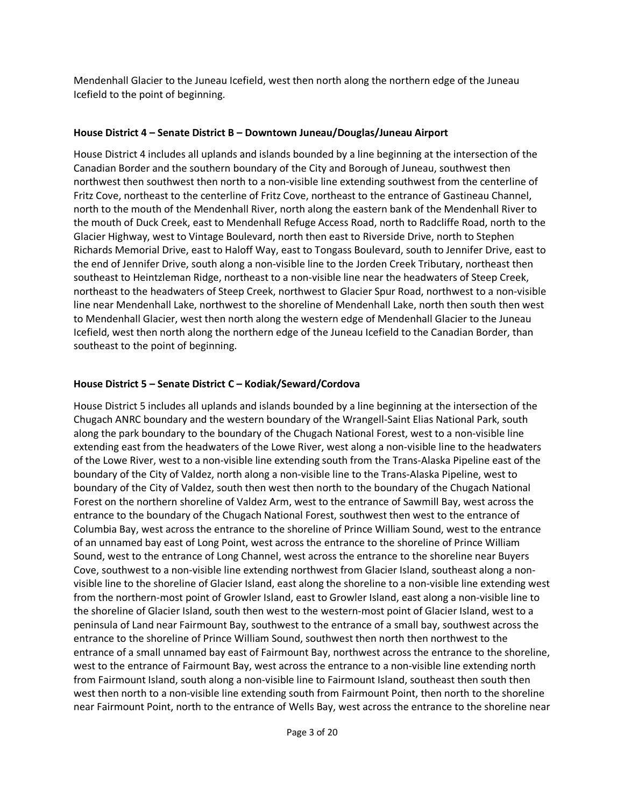Mendenhall Glacier to the Juneau Icefield, west then north along the northern edge of the Juneau Icefield to the point of beginning.

#### **House District 4 – Senate District B – Downtown Juneau/Douglas/Juneau Airport**

House District 4 includes all uplands and islands bounded by a line beginning at the intersection of the Canadian Border and the southern boundary of the City and Borough of Juneau, southwest then northwest then southwest then north to a non-visible line extending southwest from the centerline of Fritz Cove, northeast to the centerline of Fritz Cove, northeast to the entrance of Gastineau Channel, north to the mouth of the Mendenhall River, north along the eastern bank of the Mendenhall River to the mouth of Duck Creek, east to Mendenhall Refuge Access Road, north to Radcliffe Road, north to the Glacier Highway, west to Vintage Boulevard, north then east to Riverside Drive, north to Stephen Richards Memorial Drive, east to Haloff Way, east to Tongass Boulevard, south to Jennifer Drive, east to the end of Jennifer Drive, south along a non-visible line to the Jorden Creek Tributary, northeast then southeast to Heintzleman Ridge, northeast to a non-visible line near the headwaters of Steep Creek, northeast to the headwaters of Steep Creek, northwest to Glacier Spur Road, northwest to a non-visible line near Mendenhall Lake, northwest to the shoreline of Mendenhall Lake, north then south then west to Mendenhall Glacier, west then north along the western edge of Mendenhall Glacier to the Juneau Icefield, west then north along the northern edge of the Juneau Icefield to the Canadian Border, than southeast to the point of beginning.

### **House District 5 – Senate District C – Kodiak/Seward/Cordova**

House District 5 includes all uplands and islands bounded by a line beginning at the intersection of the Chugach ANRC boundary and the western boundary of the Wrangell-Saint Elias National Park, south along the park boundary to the boundary of the Chugach National Forest, west to a non-visible line extending east from the headwaters of the Lowe River, west along a non-visible line to the headwaters of the Lowe River, west to a non-visible line extending south from the Trans-Alaska Pipeline east of the boundary of the City of Valdez, north along a non-visible line to the Trans-Alaska Pipeline, west to boundary of the City of Valdez, south then west then north to the boundary of the Chugach National Forest on the northern shoreline of Valdez Arm, west to the entrance of Sawmill Bay, west across the entrance to the boundary of the Chugach National Forest, southwest then west to the entrance of Columbia Bay, west across the entrance to the shoreline of Prince William Sound, west to the entrance of an unnamed bay east of Long Point, west across the entrance to the shoreline of Prince William Sound, west to the entrance of Long Channel, west across the entrance to the shoreline near Buyers Cove, southwest to a non-visible line extending northwest from Glacier Island, southeast along a nonvisible line to the shoreline of Glacier Island, east along the shoreline to a non-visible line extending west from the northern-most point of Growler Island, east to Growler Island, east along a non-visible line to the shoreline of Glacier Island, south then west to the western-most point of Glacier Island, west to a peninsula of Land near Fairmount Bay, southwest to the entrance of a small bay, southwest across the entrance to the shoreline of Prince William Sound, southwest then north then northwest to the entrance of a small unnamed bay east of Fairmount Bay, northwest across the entrance to the shoreline, west to the entrance of Fairmount Bay, west across the entrance to a non-visible line extending north from Fairmount Island, south along a non-visible line to Fairmount Island, southeast then south then west then north to a non-visible line extending south from Fairmount Point, then north to the shoreline near Fairmount Point, north to the entrance of Wells Bay, west across the entrance to the shoreline near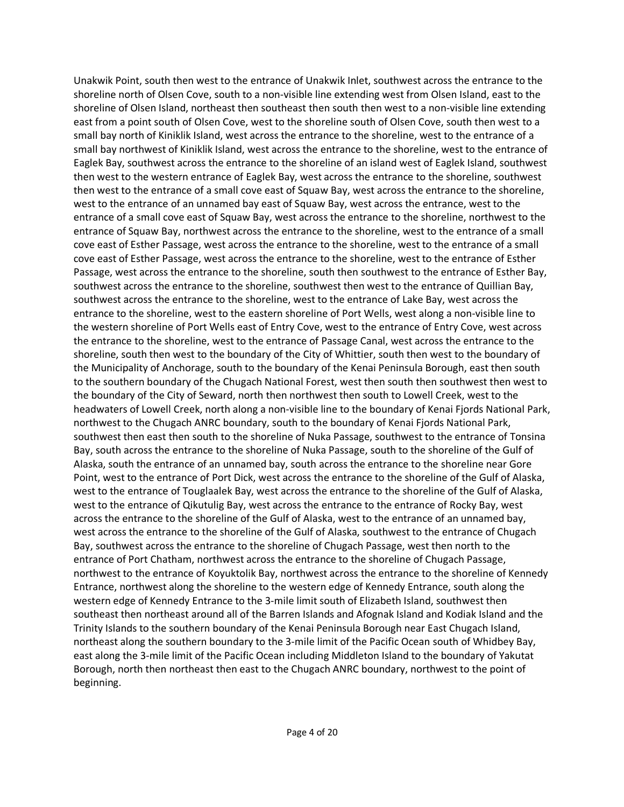Unakwik Point, south then west to the entrance of Unakwik Inlet, southwest across the entrance to the shoreline north of Olsen Cove, south to a non-visible line extending west from Olsen Island, east to the shoreline of Olsen Island, northeast then southeast then south then west to a non-visible line extending east from a point south of Olsen Cove, west to the shoreline south of Olsen Cove, south then west to a small bay north of Kiniklik Island, west across the entrance to the shoreline, west to the entrance of a small bay northwest of Kiniklik Island, west across the entrance to the shoreline, west to the entrance of Eaglek Bay, southwest across the entrance to the shoreline of an island west of Eaglek Island, southwest then west to the western entrance of Eaglek Bay, west across the entrance to the shoreline, southwest then west to the entrance of a small cove east of Squaw Bay, west across the entrance to the shoreline, west to the entrance of an unnamed bay east of Squaw Bay, west across the entrance, west to the entrance of a small cove east of Squaw Bay, west across the entrance to the shoreline, northwest to the entrance of Squaw Bay, northwest across the entrance to the shoreline, west to the entrance of a small cove east of Esther Passage, west across the entrance to the shoreline, west to the entrance of a small cove east of Esther Passage, west across the entrance to the shoreline, west to the entrance of Esther Passage, west across the entrance to the shoreline, south then southwest to the entrance of Esther Bay, southwest across the entrance to the shoreline, southwest then west to the entrance of Quillian Bay, southwest across the entrance to the shoreline, west to the entrance of Lake Bay, west across the entrance to the shoreline, west to the eastern shoreline of Port Wells, west along a non-visible line to the western shoreline of Port Wells east of Entry Cove, west to the entrance of Entry Cove, west across the entrance to the shoreline, west to the entrance of Passage Canal, west across the entrance to the shoreline, south then west to the boundary of the City of Whittier, south then west to the boundary of the Municipality of Anchorage, south to the boundary of the Kenai Peninsula Borough, east then south to the southern boundary of the Chugach National Forest, west then south then southwest then west to the boundary of the City of Seward, north then northwest then south to Lowell Creek, west to the headwaters of Lowell Creek, north along a non-visible line to the boundary of Kenai Fjords National Park, northwest to the Chugach ANRC boundary, south to the boundary of Kenai Fjords National Park, southwest then east then south to the shoreline of Nuka Passage, southwest to the entrance of Tonsina Bay, south across the entrance to the shoreline of Nuka Passage, south to the shoreline of the Gulf of Alaska, south the entrance of an unnamed bay, south across the entrance to the shoreline near Gore Point, west to the entrance of Port Dick, west across the entrance to the shoreline of the Gulf of Alaska, west to the entrance of Touglaalek Bay, west across the entrance to the shoreline of the Gulf of Alaska, west to the entrance of Qikutulig Bay, west across the entrance to the entrance of Rocky Bay, west across the entrance to the shoreline of the Gulf of Alaska, west to the entrance of an unnamed bay, west across the entrance to the shoreline of the Gulf of Alaska, southwest to the entrance of Chugach Bay, southwest across the entrance to the shoreline of Chugach Passage, west then north to the entrance of Port Chatham, northwest across the entrance to the shoreline of Chugach Passage, northwest to the entrance of Koyuktolik Bay, northwest across the entrance to the shoreline of Kennedy Entrance, northwest along the shoreline to the western edge of Kennedy Entrance, south along the western edge of Kennedy Entrance to the 3-mile limit south of Elizabeth Island, southwest then southeast then northeast around all of the Barren Islands and Afognak Island and Kodiak Island and the Trinity Islands to the southern boundary of the Kenai Peninsula Borough near East Chugach Island, northeast along the southern boundary to the 3-mile limit of the Pacific Ocean south of Whidbey Bay, east along the 3-mile limit of the Pacific Ocean including Middleton Island to the boundary of Yakutat Borough, north then northeast then east to the Chugach ANRC boundary, northwest to the point of beginning.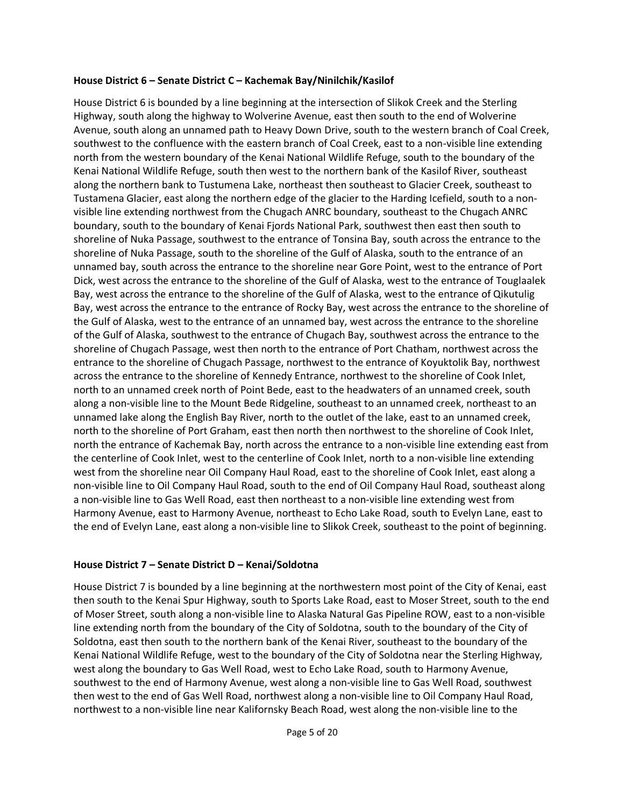#### **House District 6 – Senate District C – Kachemak Bay/Ninilchik/Kasilof**

House District 6 is bounded by a line beginning at the intersection of Slikok Creek and the Sterling Highway, south along the highway to Wolverine Avenue, east then south to the end of Wolverine Avenue, south along an unnamed path to Heavy Down Drive, south to the western branch of Coal Creek, southwest to the confluence with the eastern branch of Coal Creek, east to a non-visible line extending north from the western boundary of the Kenai National Wildlife Refuge, south to the boundary of the Kenai National Wildlife Refuge, south then west to the northern bank of the Kasilof River, southeast along the northern bank to Tustumena Lake, northeast then southeast to Glacier Creek, southeast to Tustamena Glacier, east along the northern edge of the glacier to the Harding Icefield, south to a nonvisible line extending northwest from the Chugach ANRC boundary, southeast to the Chugach ANRC boundary, south to the boundary of Kenai Fjords National Park, southwest then east then south to shoreline of Nuka Passage, southwest to the entrance of Tonsina Bay, south across the entrance to the shoreline of Nuka Passage, south to the shoreline of the Gulf of Alaska, south to the entrance of an unnamed bay, south across the entrance to the shoreline near Gore Point, west to the entrance of Port Dick, west across the entrance to the shoreline of the Gulf of Alaska, west to the entrance of Touglaalek Bay, west across the entrance to the shoreline of the Gulf of Alaska, west to the entrance of Qikutulig Bay, west across the entrance to the entrance of Rocky Bay, west across the entrance to the shoreline of the Gulf of Alaska, west to the entrance of an unnamed bay, west across the entrance to the shoreline of the Gulf of Alaska, southwest to the entrance of Chugach Bay, southwest across the entrance to the shoreline of Chugach Passage, west then north to the entrance of Port Chatham, northwest across the entrance to the shoreline of Chugach Passage, northwest to the entrance of Koyuktolik Bay, northwest across the entrance to the shoreline of Kennedy Entrance, northwest to the shoreline of Cook Inlet, north to an unnamed creek north of Point Bede, east to the headwaters of an unnamed creek, south along a non-visible line to the Mount Bede Ridgeline, southeast to an unnamed creek, northeast to an unnamed lake along the English Bay River, north to the outlet of the lake, east to an unnamed creek, north to the shoreline of Port Graham, east then north then northwest to the shoreline of Cook Inlet, north the entrance of Kachemak Bay, north across the entrance to a non-visible line extending east from the centerline of Cook Inlet, west to the centerline of Cook Inlet, north to a non-visible line extending west from the shoreline near Oil Company Haul Road, east to the shoreline of Cook Inlet, east along a non-visible line to Oil Company Haul Road, south to the end of Oil Company Haul Road, southeast along a non-visible line to Gas Well Road, east then northeast to a non-visible line extending west from Harmony Avenue, east to Harmony Avenue, northeast to Echo Lake Road, south to Evelyn Lane, east to the end of Evelyn Lane, east along a non-visible line to Slikok Creek, southeast to the point of beginning.

### **House District 7 – Senate District D – Kenai/Soldotna**

House District 7 is bounded by a line beginning at the northwestern most point of the City of Kenai, east then south to the Kenai Spur Highway, south to Sports Lake Road, east to Moser Street, south to the end of Moser Street, south along a non-visible line to Alaska Natural Gas Pipeline ROW, east to a non-visible line extending north from the boundary of the City of Soldotna, south to the boundary of the City of Soldotna, east then south to the northern bank of the Kenai River, southeast to the boundary of the Kenai National Wildlife Refuge, west to the boundary of the City of Soldotna near the Sterling Highway, west along the boundary to Gas Well Road, west to Echo Lake Road, south to Harmony Avenue, southwest to the end of Harmony Avenue, west along a non-visible line to Gas Well Road, southwest then west to the end of Gas Well Road, northwest along a non-visible line to Oil Company Haul Road, northwest to a non-visible line near Kalifornsky Beach Road, west along the non-visible line to the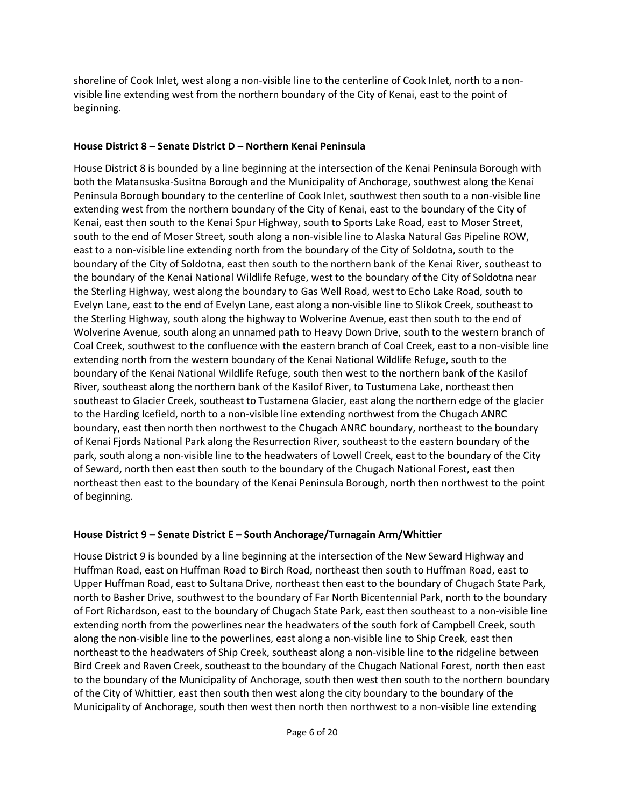shoreline of Cook Inlet, west along a non-visible line to the centerline of Cook Inlet, north to a nonvisible line extending west from the northern boundary of the City of Kenai, east to the point of beginning.

### **House District 8 – Senate District D – Northern Kenai Peninsula**

House District 8 is bounded by a line beginning at the intersection of the Kenai Peninsula Borough with both the Matansuska-Susitna Borough and the Municipality of Anchorage, southwest along the Kenai Peninsula Borough boundary to the centerline of Cook Inlet, southwest then south to a non-visible line extending west from the northern boundary of the City of Kenai, east to the boundary of the City of Kenai, east then south to the Kenai Spur Highway, south to Sports Lake Road, east to Moser Street, south to the end of Moser Street, south along a non-visible line to Alaska Natural Gas Pipeline ROW, east to a non-visible line extending north from the boundary of the City of Soldotna, south to the boundary of the City of Soldotna, east then south to the northern bank of the Kenai River, southeast to the boundary of the Kenai National Wildlife Refuge, west to the boundary of the City of Soldotna near the Sterling Highway, west along the boundary to Gas Well Road, west to Echo Lake Road, south to Evelyn Lane, east to the end of Evelyn Lane, east along a non-visible line to Slikok Creek, southeast to the Sterling Highway, south along the highway to Wolverine Avenue, east then south to the end of Wolverine Avenue, south along an unnamed path to Heavy Down Drive, south to the western branch of Coal Creek, southwest to the confluence with the eastern branch of Coal Creek, east to a non-visible line extending north from the western boundary of the Kenai National Wildlife Refuge, south to the boundary of the Kenai National Wildlife Refuge, south then west to the northern bank of the Kasilof River, southeast along the northern bank of the Kasilof River, to Tustumena Lake, northeast then southeast to Glacier Creek, southeast to Tustamena Glacier, east along the northern edge of the glacier to the Harding Icefield, north to a non-visible line extending northwest from the Chugach ANRC boundary, east then north then northwest to the Chugach ANRC boundary, northeast to the boundary of Kenai Fjords National Park along the Resurrection River, southeast to the eastern boundary of the park, south along a non-visible line to the headwaters of Lowell Creek, east to the boundary of the City of Seward, north then east then south to the boundary of the Chugach National Forest, east then northeast then east to the boundary of the Kenai Peninsula Borough, north then northwest to the point of beginning.

## **House District 9 – Senate District E – South Anchorage/Turnagain Arm/Whittier**

House District 9 is bounded by a line beginning at the intersection of the New Seward Highway and Huffman Road, east on Huffman Road to Birch Road, northeast then south to Huffman Road, east to Upper Huffman Road, east to Sultana Drive, northeast then east to the boundary of Chugach State Park, north to Basher Drive, southwest to the boundary of Far North Bicentennial Park, north to the boundary of Fort Richardson, east to the boundary of Chugach State Park, east then southeast to a non-visible line extending north from the powerlines near the headwaters of the south fork of Campbell Creek, south along the non-visible line to the powerlines, east along a non-visible line to Ship Creek, east then northeast to the headwaters of Ship Creek, southeast along a non-visible line to the ridgeline between Bird Creek and Raven Creek, southeast to the boundary of the Chugach National Forest, north then east to the boundary of the Municipality of Anchorage, south then west then south to the northern boundary of the City of Whittier, east then south then west along the city boundary to the boundary of the Municipality of Anchorage, south then west then north then northwest to a non-visible line extending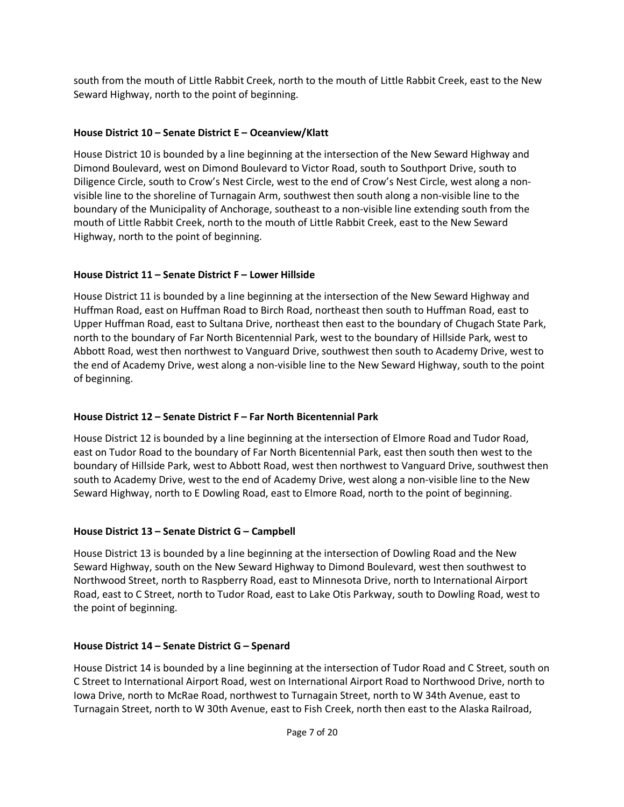south from the mouth of Little Rabbit Creek, north to the mouth of Little Rabbit Creek, east to the New Seward Highway, north to the point of beginning.

### **House District 10 – Senate District E – Oceanview/Klatt**

House District 10 is bounded by a line beginning at the intersection of the New Seward Highway and Dimond Boulevard, west on Dimond Boulevard to Victor Road, south to Southport Drive, south to Diligence Circle, south to Crow's Nest Circle, west to the end of Crow's Nest Circle, west along a nonvisible line to the shoreline of Turnagain Arm, southwest then south along a non-visible line to the boundary of the Municipality of Anchorage, southeast to a non-visible line extending south from the mouth of Little Rabbit Creek, north to the mouth of Little Rabbit Creek, east to the New Seward Highway, north to the point of beginning.

### **House District 11 – Senate District F – Lower Hillside**

House District 11 is bounded by a line beginning at the intersection of the New Seward Highway and Huffman Road, east on Huffman Road to Birch Road, northeast then south to Huffman Road, east to Upper Huffman Road, east to Sultana Drive, northeast then east to the boundary of Chugach State Park, north to the boundary of Far North Bicentennial Park, west to the boundary of Hillside Park, west to Abbott Road, west then northwest to Vanguard Drive, southwest then south to Academy Drive, west to the end of Academy Drive, west along a non-visible line to the New Seward Highway, south to the point of beginning.

## **House District 12 – Senate District F – Far North Bicentennial Park**

House District 12 is bounded by a line beginning at the intersection of Elmore Road and Tudor Road, east on Tudor Road to the boundary of Far North Bicentennial Park, east then south then west to the boundary of Hillside Park, west to Abbott Road, west then northwest to Vanguard Drive, southwest then south to Academy Drive, west to the end of Academy Drive, west along a non-visible line to the New Seward Highway, north to E Dowling Road, east to Elmore Road, north to the point of beginning.

### **House District 13 – Senate District G – Campbell**

House District 13 is bounded by a line beginning at the intersection of Dowling Road and the New Seward Highway, south on the New Seward Highway to Dimond Boulevard, west then southwest to Northwood Street, north to Raspberry Road, east to Minnesota Drive, north to International Airport Road, east to C Street, north to Tudor Road, east to Lake Otis Parkway, south to Dowling Road, west to the point of beginning.

### **House District 14 – Senate District G – Spenard**

House District 14 is bounded by a line beginning at the intersection of Tudor Road and C Street, south on C Street to International Airport Road, west on International Airport Road to Northwood Drive, north to Iowa Drive, north to McRae Road, northwest to Turnagain Street, north to W 34th Avenue, east to Turnagain Street, north to W 30th Avenue, east to Fish Creek, north then east to the Alaska Railroad,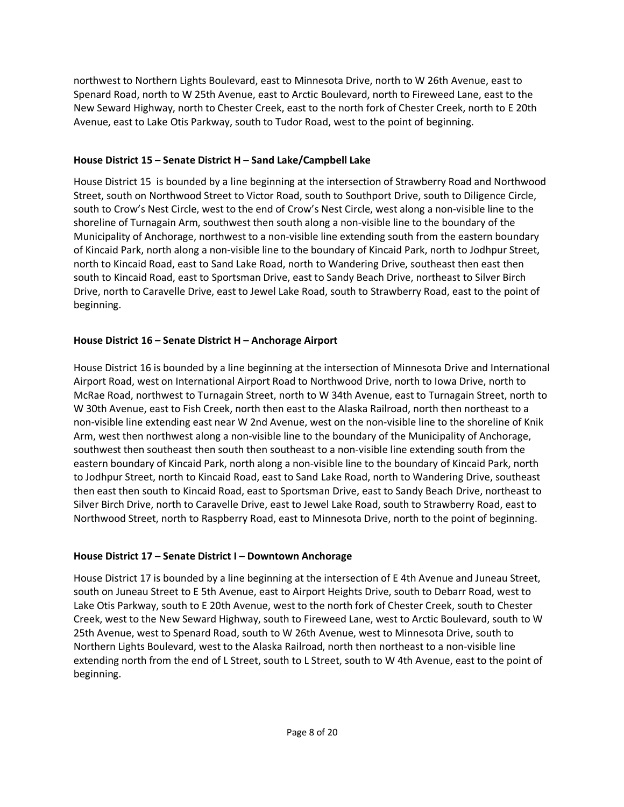northwest to Northern Lights Boulevard, east to Minnesota Drive, north to W 26th Avenue, east to Spenard Road, north to W 25th Avenue, east to Arctic Boulevard, north to Fireweed Lane, east to the New Seward Highway, north to Chester Creek, east to the north fork of Chester Creek, north to E 20th Avenue, east to Lake Otis Parkway, south to Tudor Road, west to the point of beginning.

### **House District 15 – Senate District H – Sand Lake/Campbell Lake**

House District 15 is bounded by a line beginning at the intersection of Strawberry Road and Northwood Street, south on Northwood Street to Victor Road, south to Southport Drive, south to Diligence Circle, south to Crow's Nest Circle, west to the end of Crow's Nest Circle, west along a non-visible line to the shoreline of Turnagain Arm, southwest then south along a non-visible line to the boundary of the Municipality of Anchorage, northwest to a non-visible line extending south from the eastern boundary of Kincaid Park, north along a non-visible line to the boundary of Kincaid Park, north to Jodhpur Street, north to Kincaid Road, east to Sand Lake Road, north to Wandering Drive, southeast then east then south to Kincaid Road, east to Sportsman Drive, east to Sandy Beach Drive, northeast to Silver Birch Drive, north to Caravelle Drive, east to Jewel Lake Road, south to Strawberry Road, east to the point of beginning.

### **House District 16 – Senate District H – Anchorage Airport**

House District 16 is bounded by a line beginning at the intersection of Minnesota Drive and International Airport Road, west on International Airport Road to Northwood Drive, north to Iowa Drive, north to McRae Road, northwest to Turnagain Street, north to W 34th Avenue, east to Turnagain Street, north to W 30th Avenue, east to Fish Creek, north then east to the Alaska Railroad, north then northeast to a non-visible line extending east near W 2nd Avenue, west on the non-visible line to the shoreline of Knik Arm, west then northwest along a non-visible line to the boundary of the Municipality of Anchorage, southwest then southeast then south then southeast to a non-visible line extending south from the eastern boundary of Kincaid Park, north along a non-visible line to the boundary of Kincaid Park, north to Jodhpur Street, north to Kincaid Road, east to Sand Lake Road, north to Wandering Drive, southeast then east then south to Kincaid Road, east to Sportsman Drive, east to Sandy Beach Drive, northeast to Silver Birch Drive, north to Caravelle Drive, east to Jewel Lake Road, south to Strawberry Road, east to Northwood Street, north to Raspberry Road, east to Minnesota Drive, north to the point of beginning.

### **House District 17 – Senate District I – Downtown Anchorage**

House District 17 is bounded by a line beginning at the intersection of E 4th Avenue and Juneau Street, south on Juneau Street to E 5th Avenue, east to Airport Heights Drive, south to Debarr Road, west to Lake Otis Parkway, south to E 20th Avenue, west to the north fork of Chester Creek, south to Chester Creek, west to the New Seward Highway, south to Fireweed Lane, west to Arctic Boulevard, south to W 25th Avenue, west to Spenard Road, south to W 26th Avenue, west to Minnesota Drive, south to Northern Lights Boulevard, west to the Alaska Railroad, north then northeast to a non-visible line extending north from the end of L Street, south to L Street, south to W 4th Avenue, east to the point of beginning.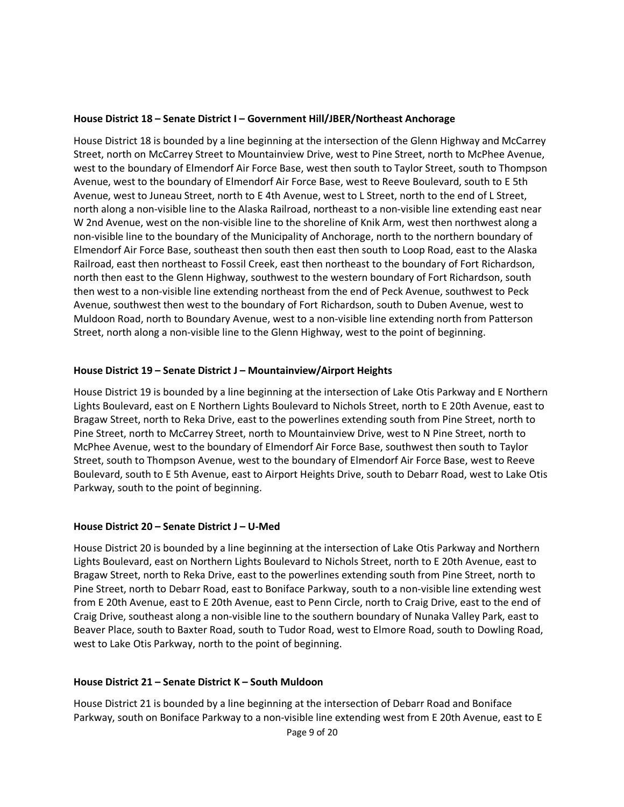#### **House District 18 – Senate District I – Government Hill/JBER/Northeast Anchorage**

House District 18 is bounded by a line beginning at the intersection of the Glenn Highway and McCarrey Street, north on McCarrey Street to Mountainview Drive, west to Pine Street, north to McPhee Avenue, west to the boundary of Elmendorf Air Force Base, west then south to Taylor Street, south to Thompson Avenue, west to the boundary of Elmendorf Air Force Base, west to Reeve Boulevard, south to E 5th Avenue, west to Juneau Street, north to E 4th Avenue, west to L Street, north to the end of L Street, north along a non-visible line to the Alaska Railroad, northeast to a non-visible line extending east near W 2nd Avenue, west on the non-visible line to the shoreline of Knik Arm, west then northwest along a non-visible line to the boundary of the Municipality of Anchorage, north to the northern boundary of Elmendorf Air Force Base, southeast then south then east then south to Loop Road, east to the Alaska Railroad, east then northeast to Fossil Creek, east then northeast to the boundary of Fort Richardson, north then east to the Glenn Highway, southwest to the western boundary of Fort Richardson, south then west to a non-visible line extending northeast from the end of Peck Avenue, southwest to Peck Avenue, southwest then west to the boundary of Fort Richardson, south to Duben Avenue, west to Muldoon Road, north to Boundary Avenue, west to a non-visible line extending north from Patterson Street, north along a non-visible line to the Glenn Highway, west to the point of beginning.

#### **House District 19 – Senate District J – Mountainview/Airport Heights**

House District 19 is bounded by a line beginning at the intersection of Lake Otis Parkway and E Northern Lights Boulevard, east on E Northern Lights Boulevard to Nichols Street, north to E 20th Avenue, east to Bragaw Street, north to Reka Drive, east to the powerlines extending south from Pine Street, north to Pine Street, north to McCarrey Street, north to Mountainview Drive, west to N Pine Street, north to McPhee Avenue, west to the boundary of Elmendorf Air Force Base, southwest then south to Taylor Street, south to Thompson Avenue, west to the boundary of Elmendorf Air Force Base, west to Reeve Boulevard, south to E 5th Avenue, east to Airport Heights Drive, south to Debarr Road, west to Lake Otis Parkway, south to the point of beginning.

### **House District 20 – Senate District J – U-Med**

House District 20 is bounded by a line beginning at the intersection of Lake Otis Parkway and Northern Lights Boulevard, east on Northern Lights Boulevard to Nichols Street, north to E 20th Avenue, east to Bragaw Street, north to Reka Drive, east to the powerlines extending south from Pine Street, north to Pine Street, north to Debarr Road, east to Boniface Parkway, south to a non-visible line extending west from E 20th Avenue, east to E 20th Avenue, east to Penn Circle, north to Craig Drive, east to the end of Craig Drive, southeast along a non-visible line to the southern boundary of Nunaka Valley Park, east to Beaver Place, south to Baxter Road, south to Tudor Road, west to Elmore Road, south to Dowling Road, west to Lake Otis Parkway, north to the point of beginning.

### **House District 21 – Senate District K – South Muldoon**

House District 21 is bounded by a line beginning at the intersection of Debarr Road and Boniface Parkway, south on Boniface Parkway to a non-visible line extending west from E 20th Avenue, east to E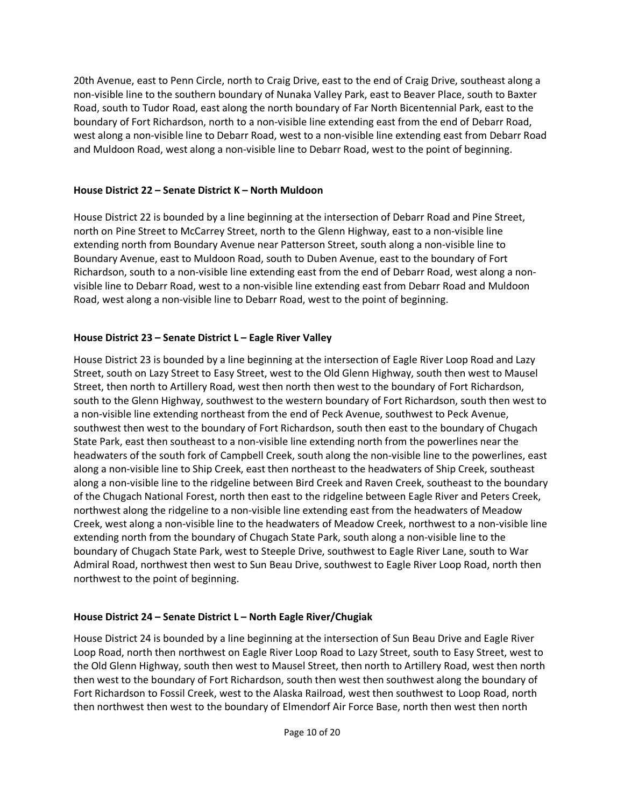20th Avenue, east to Penn Circle, north to Craig Drive, east to the end of Craig Drive, southeast along a non-visible line to the southern boundary of Nunaka Valley Park, east to Beaver Place, south to Baxter Road, south to Tudor Road, east along the north boundary of Far North Bicentennial Park, east to the boundary of Fort Richardson, north to a non-visible line extending east from the end of Debarr Road, west along a non-visible line to Debarr Road, west to a non-visible line extending east from Debarr Road and Muldoon Road, west along a non-visible line to Debarr Road, west to the point of beginning.

### **House District 22 – Senate District K – North Muldoon**

House District 22 is bounded by a line beginning at the intersection of Debarr Road and Pine Street, north on Pine Street to McCarrey Street, north to the Glenn Highway, east to a non-visible line extending north from Boundary Avenue near Patterson Street, south along a non-visible line to Boundary Avenue, east to Muldoon Road, south to Duben Avenue, east to the boundary of Fort Richardson, south to a non-visible line extending east from the end of Debarr Road, west along a nonvisible line to Debarr Road, west to a non-visible line extending east from Debarr Road and Muldoon Road, west along a non-visible line to Debarr Road, west to the point of beginning.

### **House District 23 – Senate District L – Eagle River Valley**

House District 23 is bounded by a line beginning at the intersection of Eagle River Loop Road and Lazy Street, south on Lazy Street to Easy Street, west to the Old Glenn Highway, south then west to Mausel Street, then north to Artillery Road, west then north then west to the boundary of Fort Richardson, south to the Glenn Highway, southwest to the western boundary of Fort Richardson, south then west to a non-visible line extending northeast from the end of Peck Avenue, southwest to Peck Avenue, southwest then west to the boundary of Fort Richardson, south then east to the boundary of Chugach State Park, east then southeast to a non-visible line extending north from the powerlines near the headwaters of the south fork of Campbell Creek, south along the non-visible line to the powerlines, east along a non-visible line to Ship Creek, east then northeast to the headwaters of Ship Creek, southeast along a non-visible line to the ridgeline between Bird Creek and Raven Creek, southeast to the boundary of the Chugach National Forest, north then east to the ridgeline between Eagle River and Peters Creek, northwest along the ridgeline to a non-visible line extending east from the headwaters of Meadow Creek, west along a non-visible line to the headwaters of Meadow Creek, northwest to a non-visible line extending north from the boundary of Chugach State Park, south along a non-visible line to the boundary of Chugach State Park, west to Steeple Drive, southwest to Eagle River Lane, south to War Admiral Road, northwest then west to Sun Beau Drive, southwest to Eagle River Loop Road, north then northwest to the point of beginning.

### **House District 24 – Senate District L – North Eagle River/Chugiak**

House District 24 is bounded by a line beginning at the intersection of Sun Beau Drive and Eagle River Loop Road, north then northwest on Eagle River Loop Road to Lazy Street, south to Easy Street, west to the Old Glenn Highway, south then west to Mausel Street, then north to Artillery Road, west then north then west to the boundary of Fort Richardson, south then west then southwest along the boundary of Fort Richardson to Fossil Creek, west to the Alaska Railroad, west then southwest to Loop Road, north then northwest then west to the boundary of Elmendorf Air Force Base, north then west then north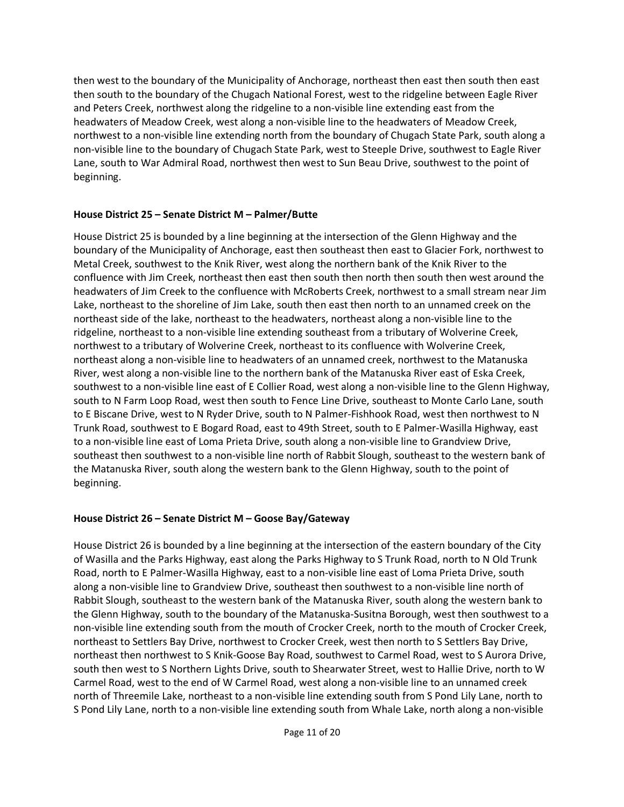then west to the boundary of the Municipality of Anchorage, northeast then east then south then east then south to the boundary of the Chugach National Forest, west to the ridgeline between Eagle River and Peters Creek, northwest along the ridgeline to a non-visible line extending east from the headwaters of Meadow Creek, west along a non-visible line to the headwaters of Meadow Creek, northwest to a non-visible line extending north from the boundary of Chugach State Park, south along a non-visible line to the boundary of Chugach State Park, west to Steeple Drive, southwest to Eagle River Lane, south to War Admiral Road, northwest then west to Sun Beau Drive, southwest to the point of beginning.

### **House District 25 – Senate District M – Palmer/Butte**

House District 25 is bounded by a line beginning at the intersection of the Glenn Highway and the boundary of the Municipality of Anchorage, east then southeast then east to Glacier Fork, northwest to Metal Creek, southwest to the Knik River, west along the northern bank of the Knik River to the confluence with Jim Creek, northeast then east then south then north then south then west around the headwaters of Jim Creek to the confluence with McRoberts Creek, northwest to a small stream near Jim Lake, northeast to the shoreline of Jim Lake, south then east then north to an unnamed creek on the northeast side of the lake, northeast to the headwaters, northeast along a non-visible line to the ridgeline, northeast to a non-visible line extending southeast from a tributary of Wolverine Creek, northwest to a tributary of Wolverine Creek, northeast to its confluence with Wolverine Creek, northeast along a non-visible line to headwaters of an unnamed creek, northwest to the Matanuska River, west along a non-visible line to the northern bank of the Matanuska River east of Eska Creek, southwest to a non-visible line east of E Collier Road, west along a non-visible line to the Glenn Highway, south to N Farm Loop Road, west then south to Fence Line Drive, southeast to Monte Carlo Lane, south to E Biscane Drive, west to N Ryder Drive, south to N Palmer-Fishhook Road, west then northwest to N Trunk Road, southwest to E Bogard Road, east to 49th Street, south to E Palmer-Wasilla Highway, east to a non-visible line east of Loma Prieta Drive, south along a non-visible line to Grandview Drive, southeast then southwest to a non-visible line north of Rabbit Slough, southeast to the western bank of the Matanuska River, south along the western bank to the Glenn Highway, south to the point of beginning.

## **House District 26 – Senate District M – Goose Bay/Gateway**

House District 26 is bounded by a line beginning at the intersection of the eastern boundary of the City of Wasilla and the Parks Highway, east along the Parks Highway to S Trunk Road, north to N Old Trunk Road, north to E Palmer-Wasilla Highway, east to a non-visible line east of Loma Prieta Drive, south along a non-visible line to Grandview Drive, southeast then southwest to a non-visible line north of Rabbit Slough, southeast to the western bank of the Matanuska River, south along the western bank to the Glenn Highway, south to the boundary of the Matanuska-Susitna Borough, west then southwest to a non-visible line extending south from the mouth of Crocker Creek, north to the mouth of Crocker Creek, northeast to Settlers Bay Drive, northwest to Crocker Creek, west then north to S Settlers Bay Drive, northeast then northwest to S Knik-Goose Bay Road, southwest to Carmel Road, west to S Aurora Drive, south then west to S Northern Lights Drive, south to Shearwater Street, west to Hallie Drive, north to W Carmel Road, west to the end of W Carmel Road, west along a non-visible line to an unnamed creek north of Threemile Lake, northeast to a non-visible line extending south from S Pond Lily Lane, north to S Pond Lily Lane, north to a non-visible line extending south from Whale Lake, north along a non-visible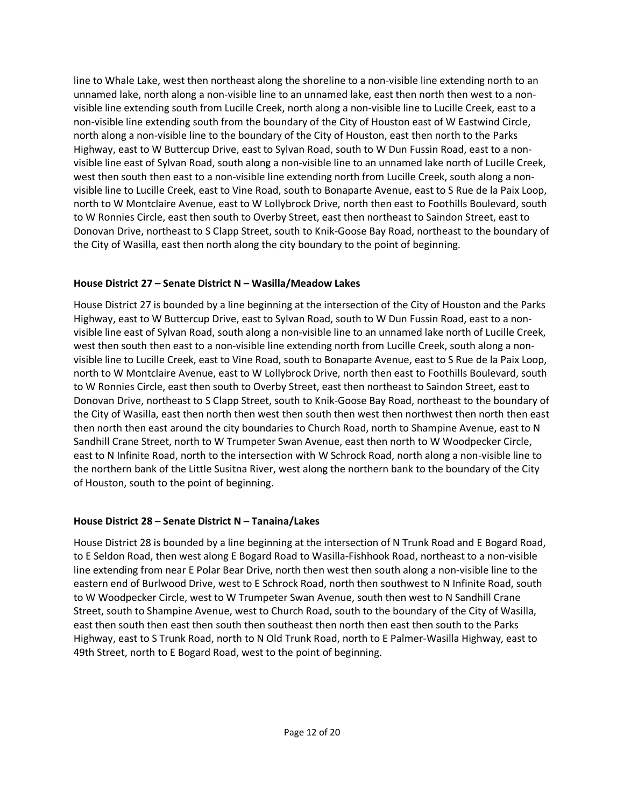line to Whale Lake, west then northeast along the shoreline to a non-visible line extending north to an unnamed lake, north along a non-visible line to an unnamed lake, east then north then west to a nonvisible line extending south from Lucille Creek, north along a non-visible line to Lucille Creek, east to a non-visible line extending south from the boundary of the City of Houston east of W Eastwind Circle, north along a non-visible line to the boundary of the City of Houston, east then north to the Parks Highway, east to W Buttercup Drive, east to Sylvan Road, south to W Dun Fussin Road, east to a nonvisible line east of Sylvan Road, south along a non-visible line to an unnamed lake north of Lucille Creek, west then south then east to a non-visible line extending north from Lucille Creek, south along a nonvisible line to Lucille Creek, east to Vine Road, south to Bonaparte Avenue, east to S Rue de la Paix Loop, north to W Montclaire Avenue, east to W Lollybrock Drive, north then east to Foothills Boulevard, south to W Ronnies Circle, east then south to Overby Street, east then northeast to Saindon Street, east to Donovan Drive, northeast to S Clapp Street, south to Knik-Goose Bay Road, northeast to the boundary of the City of Wasilla, east then north along the city boundary to the point of beginning.

### **House District 27 – Senate District N – Wasilla/Meadow Lakes**

House District 27 is bounded by a line beginning at the intersection of the City of Houston and the Parks Highway, east to W Buttercup Drive, east to Sylvan Road, south to W Dun Fussin Road, east to a nonvisible line east of Sylvan Road, south along a non-visible line to an unnamed lake north of Lucille Creek, west then south then east to a non-visible line extending north from Lucille Creek, south along a nonvisible line to Lucille Creek, east to Vine Road, south to Bonaparte Avenue, east to S Rue de la Paix Loop, north to W Montclaire Avenue, east to W Lollybrock Drive, north then east to Foothills Boulevard, south to W Ronnies Circle, east then south to Overby Street, east then northeast to Saindon Street, east to Donovan Drive, northeast to S Clapp Street, south to Knik-Goose Bay Road, northeast to the boundary of the City of Wasilla, east then north then west then south then west then northwest then north then east then north then east around the city boundaries to Church Road, north to Shampine Avenue, east to N Sandhill Crane Street, north to W Trumpeter Swan Avenue, east then north to W Woodpecker Circle, east to N Infinite Road, north to the intersection with W Schrock Road, north along a non-visible line to the northern bank of the Little Susitna River, west along the northern bank to the boundary of the City of Houston, south to the point of beginning.

### **House District 28 – Senate District N – Tanaina/Lakes**

House District 28 is bounded by a line beginning at the intersection of N Trunk Road and E Bogard Road, to E Seldon Road, then west along E Bogard Road to Wasilla-Fishhook Road, northeast to a non-visible line extending from near E Polar Bear Drive, north then west then south along a non-visible line to the eastern end of Burlwood Drive, west to E Schrock Road, north then southwest to N Infinite Road, south to W Woodpecker Circle, west to W Trumpeter Swan Avenue, south then west to N Sandhill Crane Street, south to Shampine Avenue, west to Church Road, south to the boundary of the City of Wasilla, east then south then east then south then southeast then north then east then south to the Parks Highway, east to S Trunk Road, north to N Old Trunk Road, north to E Palmer-Wasilla Highway, east to 49th Street, north to E Bogard Road, west to the point of beginning.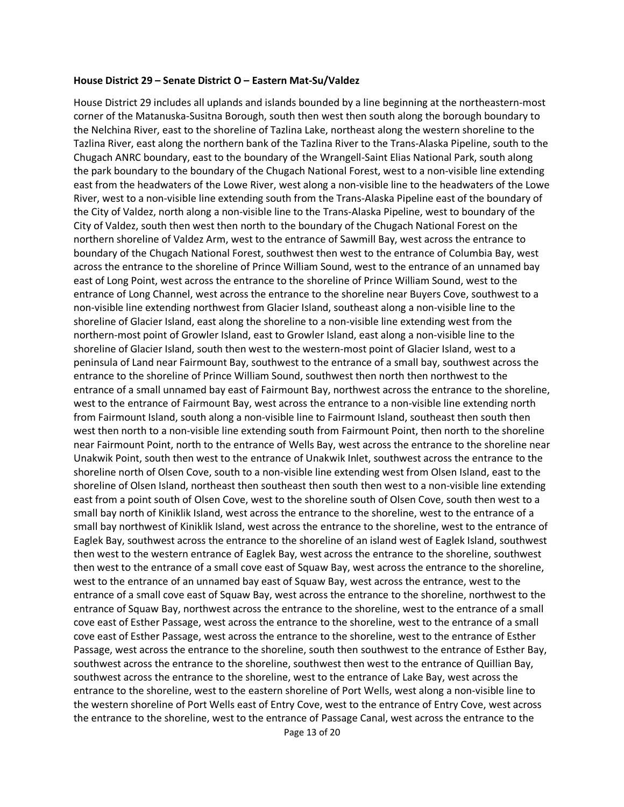#### **House District 29 – Senate District O – Eastern Mat-Su/Valdez**

House District 29 includes all uplands and islands bounded by a line beginning at the northeastern-most corner of the Matanuska-Susitna Borough, south then west then south along the borough boundary to the Nelchina River, east to the shoreline of Tazlina Lake, northeast along the western shoreline to the Tazlina River, east along the northern bank of the Tazlina River to the Trans-Alaska Pipeline, south to the Chugach ANRC boundary, east to the boundary of the Wrangell-Saint Elias National Park, south along the park boundary to the boundary of the Chugach National Forest, west to a non-visible line extending east from the headwaters of the Lowe River, west along a non-visible line to the headwaters of the Lowe River, west to a non-visible line extending south from the Trans-Alaska Pipeline east of the boundary of the City of Valdez, north along a non-visible line to the Trans-Alaska Pipeline, west to boundary of the City of Valdez, south then west then north to the boundary of the Chugach National Forest on the northern shoreline of Valdez Arm, west to the entrance of Sawmill Bay, west across the entrance to boundary of the Chugach National Forest, southwest then west to the entrance of Columbia Bay, west across the entrance to the shoreline of Prince William Sound, west to the entrance of an unnamed bay east of Long Point, west across the entrance to the shoreline of Prince William Sound, west to the entrance of Long Channel, west across the entrance to the shoreline near Buyers Cove, southwest to a non-visible line extending northwest from Glacier Island, southeast along a non-visible line to the shoreline of Glacier Island, east along the shoreline to a non-visible line extending west from the northern-most point of Growler Island, east to Growler Island, east along a non-visible line to the shoreline of Glacier Island, south then west to the western-most point of Glacier Island, west to a peninsula of Land near Fairmount Bay, southwest to the entrance of a small bay, southwest across the entrance to the shoreline of Prince William Sound, southwest then north then northwest to the entrance of a small unnamed bay east of Fairmount Bay, northwest across the entrance to the shoreline, west to the entrance of Fairmount Bay, west across the entrance to a non-visible line extending north from Fairmount Island, south along a non-visible line to Fairmount Island, southeast then south then west then north to a non-visible line extending south from Fairmount Point, then north to the shoreline near Fairmount Point, north to the entrance of Wells Bay, west across the entrance to the shoreline near Unakwik Point, south then west to the entrance of Unakwik Inlet, southwest across the entrance to the shoreline north of Olsen Cove, south to a non-visible line extending west from Olsen Island, east to the shoreline of Olsen Island, northeast then southeast then south then west to a non-visible line extending east from a point south of Olsen Cove, west to the shoreline south of Olsen Cove, south then west to a small bay north of Kiniklik Island, west across the entrance to the shoreline, west to the entrance of a small bay northwest of Kiniklik Island, west across the entrance to the shoreline, west to the entrance of Eaglek Bay, southwest across the entrance to the shoreline of an island west of Eaglek Island, southwest then west to the western entrance of Eaglek Bay, west across the entrance to the shoreline, southwest then west to the entrance of a small cove east of Squaw Bay, west across the entrance to the shoreline, west to the entrance of an unnamed bay east of Squaw Bay, west across the entrance, west to the entrance of a small cove east of Squaw Bay, west across the entrance to the shoreline, northwest to the entrance of Squaw Bay, northwest across the entrance to the shoreline, west to the entrance of a small cove east of Esther Passage, west across the entrance to the shoreline, west to the entrance of a small cove east of Esther Passage, west across the entrance to the shoreline, west to the entrance of Esther Passage, west across the entrance to the shoreline, south then southwest to the entrance of Esther Bay, southwest across the entrance to the shoreline, southwest then west to the entrance of Quillian Bay, southwest across the entrance to the shoreline, west to the entrance of Lake Bay, west across the entrance to the shoreline, west to the eastern shoreline of Port Wells, west along a non-visible line to the western shoreline of Port Wells east of Entry Cove, west to the entrance of Entry Cove, west across the entrance to the shoreline, west to the entrance of Passage Canal, west across the entrance to the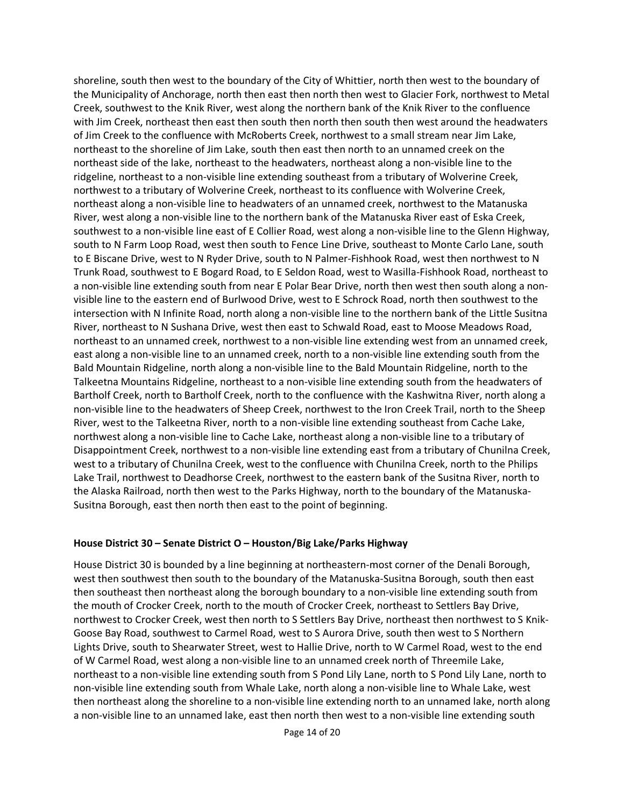shoreline, south then west to the boundary of the City of Whittier, north then west to the boundary of the Municipality of Anchorage, north then east then north then west to Glacier Fork, northwest to Metal Creek, southwest to the Knik River, west along the northern bank of the Knik River to the confluence with Jim Creek, northeast then east then south then north then south then west around the headwaters of Jim Creek to the confluence with McRoberts Creek, northwest to a small stream near Jim Lake, northeast to the shoreline of Jim Lake, south then east then north to an unnamed creek on the northeast side of the lake, northeast to the headwaters, northeast along a non-visible line to the ridgeline, northeast to a non-visible line extending southeast from a tributary of Wolverine Creek, northwest to a tributary of Wolverine Creek, northeast to its confluence with Wolverine Creek, northeast along a non-visible line to headwaters of an unnamed creek, northwest to the Matanuska River, west along a non-visible line to the northern bank of the Matanuska River east of Eska Creek, southwest to a non-visible line east of E Collier Road, west along a non-visible line to the Glenn Highway, south to N Farm Loop Road, west then south to Fence Line Drive, southeast to Monte Carlo Lane, south to E Biscane Drive, west to N Ryder Drive, south to N Palmer-Fishhook Road, west then northwest to N Trunk Road, southwest to E Bogard Road, to E Seldon Road, west to Wasilla-Fishhook Road, northeast to a non-visible line extending south from near E Polar Bear Drive, north then west then south along a nonvisible line to the eastern end of Burlwood Drive, west to E Schrock Road, north then southwest to the intersection with N Infinite Road, north along a non-visible line to the northern bank of the Little Susitna River, northeast to N Sushana Drive, west then east to Schwald Road, east to Moose Meadows Road, northeast to an unnamed creek, northwest to a non-visible line extending west from an unnamed creek, east along a non-visible line to an unnamed creek, north to a non-visible line extending south from the Bald Mountain Ridgeline, north along a non-visible line to the Bald Mountain Ridgeline, north to the Talkeetna Mountains Ridgeline, northeast to a non-visible line extending south from the headwaters of Bartholf Creek, north to Bartholf Creek, north to the confluence with the Kashwitna River, north along a non-visible line to the headwaters of Sheep Creek, northwest to the Iron Creek Trail, north to the Sheep River, west to the Talkeetna River, north to a non-visible line extending southeast from Cache Lake, northwest along a non-visible line to Cache Lake, northeast along a non-visible line to a tributary of Disappointment Creek, northwest to a non-visible line extending east from a tributary of Chunilna Creek, west to a tributary of Chunilna Creek, west to the confluence with Chunilna Creek, north to the Philips Lake Trail, northwest to Deadhorse Creek, northwest to the eastern bank of the Susitna River, north to the Alaska Railroad, north then west to the Parks Highway, north to the boundary of the Matanuska-Susitna Borough, east then north then east to the point of beginning.

### **House District 30 – Senate District O – Houston/Big Lake/Parks Highway**

House District 30 is bounded by a line beginning at northeastern-most corner of the Denali Borough, west then southwest then south to the boundary of the Matanuska-Susitna Borough, south then east then southeast then northeast along the borough boundary to a non-visible line extending south from the mouth of Crocker Creek, north to the mouth of Crocker Creek, northeast to Settlers Bay Drive, northwest to Crocker Creek, west then north to S Settlers Bay Drive, northeast then northwest to S Knik-Goose Bay Road, southwest to Carmel Road, west to S Aurora Drive, south then west to S Northern Lights Drive, south to Shearwater Street, west to Hallie Drive, north to W Carmel Road, west to the end of W Carmel Road, west along a non-visible line to an unnamed creek north of Threemile Lake, northeast to a non-visible line extending south from S Pond Lily Lane, north to S Pond Lily Lane, north to non-visible line extending south from Whale Lake, north along a non-visible line to Whale Lake, west then northeast along the shoreline to a non-visible line extending north to an unnamed lake, north along a non-visible line to an unnamed lake, east then north then west to a non-visible line extending south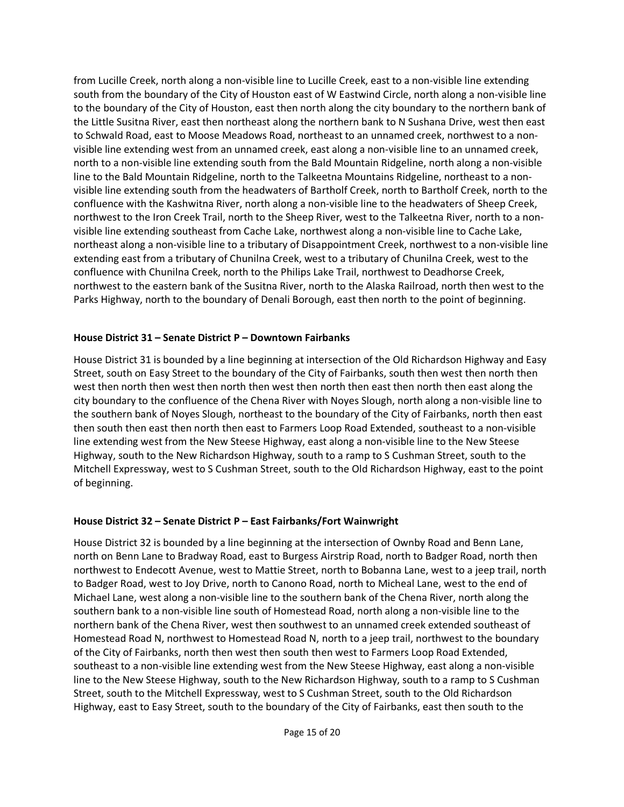from Lucille Creek, north along a non-visible line to Lucille Creek, east to a non-visible line extending south from the boundary of the City of Houston east of W Eastwind Circle, north along a non-visible line to the boundary of the City of Houston, east then north along the city boundary to the northern bank of the Little Susitna River, east then northeast along the northern bank to N Sushana Drive, west then east to Schwald Road, east to Moose Meadows Road, northeast to an unnamed creek, northwest to a nonvisible line extending west from an unnamed creek, east along a non-visible line to an unnamed creek, north to a non-visible line extending south from the Bald Mountain Ridgeline, north along a non-visible line to the Bald Mountain Ridgeline, north to the Talkeetna Mountains Ridgeline, northeast to a nonvisible line extending south from the headwaters of Bartholf Creek, north to Bartholf Creek, north to the confluence with the Kashwitna River, north along a non-visible line to the headwaters of Sheep Creek, northwest to the Iron Creek Trail, north to the Sheep River, west to the Talkeetna River, north to a nonvisible line extending southeast from Cache Lake, northwest along a non-visible line to Cache Lake, northeast along a non-visible line to a tributary of Disappointment Creek, northwest to a non-visible line extending east from a tributary of Chunilna Creek, west to a tributary of Chunilna Creek, west to the confluence with Chunilna Creek, north to the Philips Lake Trail, northwest to Deadhorse Creek, northwest to the eastern bank of the Susitna River, north to the Alaska Railroad, north then west to the Parks Highway, north to the boundary of Denali Borough, east then north to the point of beginning.

### **House District 31 – Senate District P – Downtown Fairbanks**

House District 31 is bounded by a line beginning at intersection of the Old Richardson Highway and Easy Street, south on Easy Street to the boundary of the City of Fairbanks, south then west then north then west then north then west then north then west then north then east then north then east along the city boundary to the confluence of the Chena River with Noyes Slough, north along a non-visible line to the southern bank of Noyes Slough, northeast to the boundary of the City of Fairbanks, north then east then south then east then north then east to Farmers Loop Road Extended, southeast to a non-visible line extending west from the New Steese Highway, east along a non-visible line to the New Steese Highway, south to the New Richardson Highway, south to a ramp to S Cushman Street, south to the Mitchell Expressway, west to S Cushman Street, south to the Old Richardson Highway, east to the point of beginning.

## **House District 32 – Senate District P – East Fairbanks/Fort Wainwright**

House District 32 is bounded by a line beginning at the intersection of Ownby Road and Benn Lane, north on Benn Lane to Bradway Road, east to Burgess Airstrip Road, north to Badger Road, north then northwest to Endecott Avenue, west to Mattie Street, north to Bobanna Lane, west to a jeep trail, north to Badger Road, west to Joy Drive, north to Canono Road, north to Micheal Lane, west to the end of Michael Lane, west along a non-visible line to the southern bank of the Chena River, north along the southern bank to a non-visible line south of Homestead Road, north along a non-visible line to the northern bank of the Chena River, west then southwest to an unnamed creek extended southeast of Homestead Road N, northwest to Homestead Road N, north to a jeep trail, northwest to the boundary of the City of Fairbanks, north then west then south then west to Farmers Loop Road Extended, southeast to a non-visible line extending west from the New Steese Highway, east along a non-visible line to the New Steese Highway, south to the New Richardson Highway, south to a ramp to S Cushman Street, south to the Mitchell Expressway, west to S Cushman Street, south to the Old Richardson Highway, east to Easy Street, south to the boundary of the City of Fairbanks, east then south to the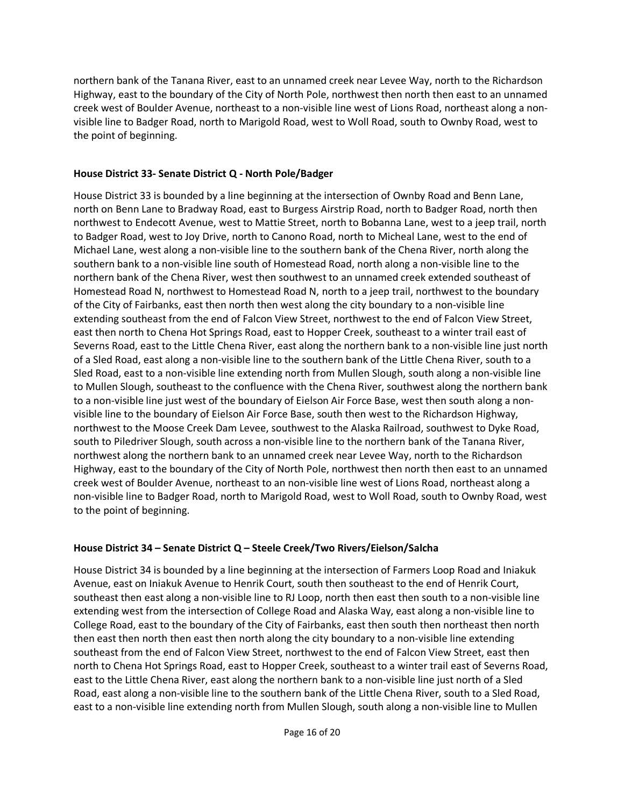northern bank of the Tanana River, east to an unnamed creek near Levee Way, north to the Richardson Highway, east to the boundary of the City of North Pole, northwest then north then east to an unnamed creek west of Boulder Avenue, northeast to a non-visible line west of Lions Road, northeast along a nonvisible line to Badger Road, north to Marigold Road, west to Woll Road, south to Ownby Road, west to the point of beginning.

### **House District 33- Senate District Q - North Pole/Badger**

House District 33 is bounded by a line beginning at the intersection of Ownby Road and Benn Lane, north on Benn Lane to Bradway Road, east to Burgess Airstrip Road, north to Badger Road, north then northwest to Endecott Avenue, west to Mattie Street, north to Bobanna Lane, west to a jeep trail, north to Badger Road, west to Joy Drive, north to Canono Road, north to Micheal Lane, west to the end of Michael Lane, west along a non-visible line to the southern bank of the Chena River, north along the southern bank to a non-visible line south of Homestead Road, north along a non-visible line to the northern bank of the Chena River, west then southwest to an unnamed creek extended southeast of Homestead Road N, northwest to Homestead Road N, north to a jeep trail, northwest to the boundary of the City of Fairbanks, east then north then west along the city boundary to a non-visible line extending southeast from the end of Falcon View Street, northwest to the end of Falcon View Street, east then north to Chena Hot Springs Road, east to Hopper Creek, southeast to a winter trail east of Severns Road, east to the Little Chena River, east along the northern bank to a non-visible line just north of a Sled Road, east along a non-visible line to the southern bank of the Little Chena River, south to a Sled Road, east to a non-visible line extending north from Mullen Slough, south along a non-visible line to Mullen Slough, southeast to the confluence with the Chena River, southwest along the northern bank to a non-visible line just west of the boundary of Eielson Air Force Base, west then south along a nonvisible line to the boundary of Eielson Air Force Base, south then west to the Richardson Highway, northwest to the Moose Creek Dam Levee, southwest to the Alaska Railroad, southwest to Dyke Road, south to Piledriver Slough, south across a non-visible line to the northern bank of the Tanana River, northwest along the northern bank to an unnamed creek near Levee Way, north to the Richardson Highway, east to the boundary of the City of North Pole, northwest then north then east to an unnamed creek west of Boulder Avenue, northeast to an non-visible line west of Lions Road, northeast along a non-visible line to Badger Road, north to Marigold Road, west to Woll Road, south to Ownby Road, west to the point of beginning.

### **House District 34 – Senate District Q – Steele Creek/Two Rivers/Eielson/Salcha**

House District 34 is bounded by a line beginning at the intersection of Farmers Loop Road and Iniakuk Avenue, east on Iniakuk Avenue to Henrik Court, south then southeast to the end of Henrik Court, southeast then east along a non-visible line to RJ Loop, north then east then south to a non-visible line extending west from the intersection of College Road and Alaska Way, east along a non-visible line to College Road, east to the boundary of the City of Fairbanks, east then south then northeast then north then east then north then east then north along the city boundary to a non-visible line extending southeast from the end of Falcon View Street, northwest to the end of Falcon View Street, east then north to Chena Hot Springs Road, east to Hopper Creek, southeast to a winter trail east of Severns Road, east to the Little Chena River, east along the northern bank to a non-visible line just north of a Sled Road, east along a non-visible line to the southern bank of the Little Chena River, south to a Sled Road, east to a non-visible line extending north from Mullen Slough, south along a non-visible line to Mullen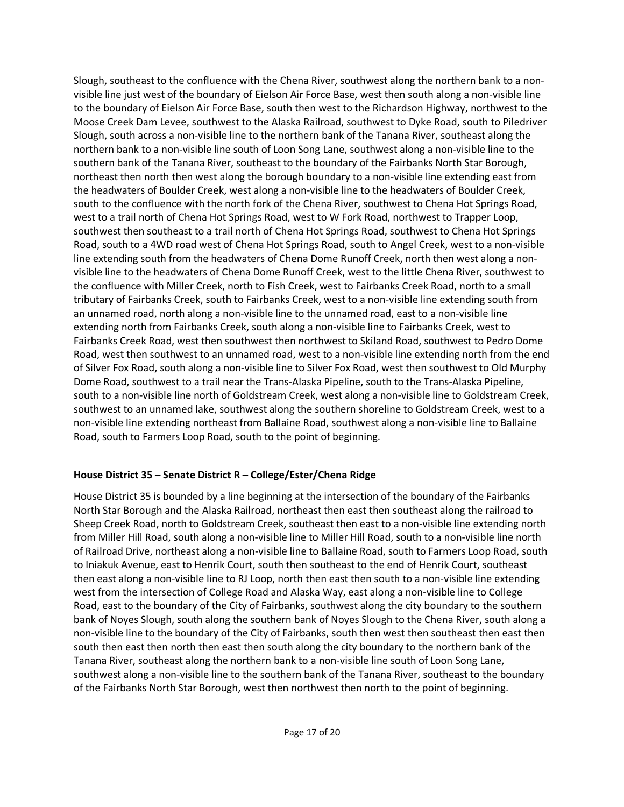Slough, southeast to the confluence with the Chena River, southwest along the northern bank to a nonvisible line just west of the boundary of Eielson Air Force Base, west then south along a non-visible line to the boundary of Eielson Air Force Base, south then west to the Richardson Highway, northwest to the Moose Creek Dam Levee, southwest to the Alaska Railroad, southwest to Dyke Road, south to Piledriver Slough, south across a non-visible line to the northern bank of the Tanana River, southeast along the northern bank to a non-visible line south of Loon Song Lane, southwest along a non-visible line to the southern bank of the Tanana River, southeast to the boundary of the Fairbanks North Star Borough, northeast then north then west along the borough boundary to a non-visible line extending east from the headwaters of Boulder Creek, west along a non-visible line to the headwaters of Boulder Creek, south to the confluence with the north fork of the Chena River, southwest to Chena Hot Springs Road, west to a trail north of Chena Hot Springs Road, west to W Fork Road, northwest to Trapper Loop, southwest then southeast to a trail north of Chena Hot Springs Road, southwest to Chena Hot Springs Road, south to a 4WD road west of Chena Hot Springs Road, south to Angel Creek, west to a non-visible line extending south from the headwaters of Chena Dome Runoff Creek, north then west along a nonvisible line to the headwaters of Chena Dome Runoff Creek, west to the little Chena River, southwest to the confluence with Miller Creek, north to Fish Creek, west to Fairbanks Creek Road, north to a small tributary of Fairbanks Creek, south to Fairbanks Creek, west to a non-visible line extending south from an unnamed road, north along a non-visible line to the unnamed road, east to a non-visible line extending north from Fairbanks Creek, south along a non-visible line to Fairbanks Creek, west to Fairbanks Creek Road, west then southwest then northwest to Skiland Road, southwest to Pedro Dome Road, west then southwest to an unnamed road, west to a non-visible line extending north from the end of Silver Fox Road, south along a non-visible line to Silver Fox Road, west then southwest to Old Murphy Dome Road, southwest to a trail near the Trans-Alaska Pipeline, south to the Trans-Alaska Pipeline, south to a non-visible line north of Goldstream Creek, west along a non-visible line to Goldstream Creek, southwest to an unnamed lake, southwest along the southern shoreline to Goldstream Creek, west to a non-visible line extending northeast from Ballaine Road, southwest along a non-visible line to Ballaine Road, south to Farmers Loop Road, south to the point of beginning.

### **House District 35 – Senate District R – College/Ester/Chena Ridge**

House District 35 is bounded by a line beginning at the intersection of the boundary of the Fairbanks North Star Borough and the Alaska Railroad, northeast then east then southeast along the railroad to Sheep Creek Road, north to Goldstream Creek, southeast then east to a non-visible line extending north from Miller Hill Road, south along a non-visible line to Miller Hill Road, south to a non-visible line north of Railroad Drive, northeast along a non-visible line to Ballaine Road, south to Farmers Loop Road, south to Iniakuk Avenue, east to Henrik Court, south then southeast to the end of Henrik Court, southeast then east along a non-visible line to RJ Loop, north then east then south to a non-visible line extending west from the intersection of College Road and Alaska Way, east along a non-visible line to College Road, east to the boundary of the City of Fairbanks, southwest along the city boundary to the southern bank of Noyes Slough, south along the southern bank of Noyes Slough to the Chena River, south along a non-visible line to the boundary of the City of Fairbanks, south then west then southeast then east then south then east then north then east then south along the city boundary to the northern bank of the Tanana River, southeast along the northern bank to a non-visible line south of Loon Song Lane, southwest along a non-visible line to the southern bank of the Tanana River, southeast to the boundary of the Fairbanks North Star Borough, west then northwest then north to the point of beginning.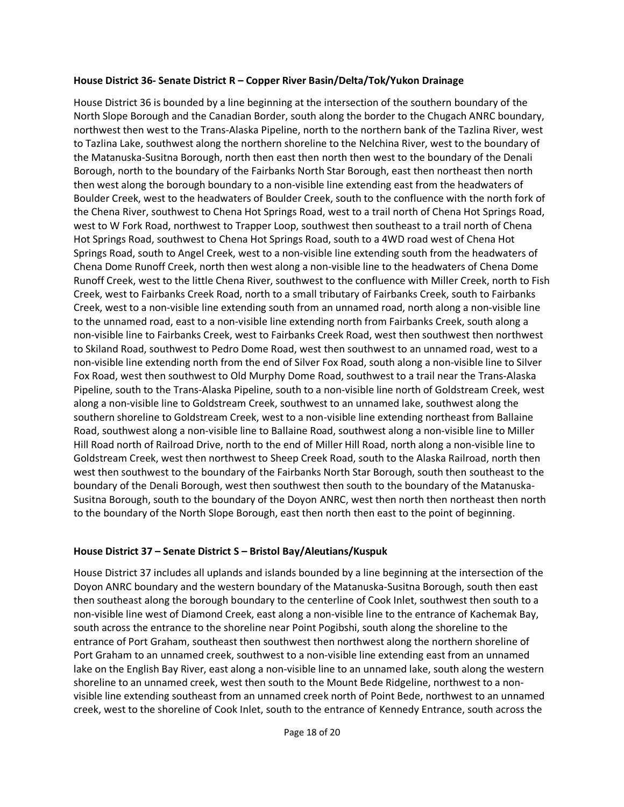#### **House District 36- Senate District R – Copper River Basin/Delta/Tok/Yukon Drainage**

House District 36 is bounded by a line beginning at the intersection of the southern boundary of the North Slope Borough and the Canadian Border, south along the border to the Chugach ANRC boundary, northwest then west to the Trans-Alaska Pipeline, north to the northern bank of the Tazlina River, west to Tazlina Lake, southwest along the northern shoreline to the Nelchina River, west to the boundary of the Matanuska-Susitna Borough, north then east then north then west to the boundary of the Denali Borough, north to the boundary of the Fairbanks North Star Borough, east then northeast then north then west along the borough boundary to a non-visible line extending east from the headwaters of Boulder Creek, west to the headwaters of Boulder Creek, south to the confluence with the north fork of the Chena River, southwest to Chena Hot Springs Road, west to a trail north of Chena Hot Springs Road, west to W Fork Road, northwest to Trapper Loop, southwest then southeast to a trail north of Chena Hot Springs Road, southwest to Chena Hot Springs Road, south to a 4WD road west of Chena Hot Springs Road, south to Angel Creek, west to a non-visible line extending south from the headwaters of Chena Dome Runoff Creek, north then west along a non-visible line to the headwaters of Chena Dome Runoff Creek, west to the little Chena River, southwest to the confluence with Miller Creek, north to Fish Creek, west to Fairbanks Creek Road, north to a small tributary of Fairbanks Creek, south to Fairbanks Creek, west to a non-visible line extending south from an unnamed road, north along a non-visible line to the unnamed road, east to a non-visible line extending north from Fairbanks Creek, south along a non-visible line to Fairbanks Creek, west to Fairbanks Creek Road, west then southwest then northwest to Skiland Road, southwest to Pedro Dome Road, west then southwest to an unnamed road, west to a non-visible line extending north from the end of Silver Fox Road, south along a non-visible line to Silver Fox Road, west then southwest to Old Murphy Dome Road, southwest to a trail near the Trans-Alaska Pipeline, south to the Trans-Alaska Pipeline, south to a non-visible line north of Goldstream Creek, west along a non-visible line to Goldstream Creek, southwest to an unnamed lake, southwest along the southern shoreline to Goldstream Creek, west to a non-visible line extending northeast from Ballaine Road, southwest along a non-visible line to Ballaine Road, southwest along a non-visible line to Miller Hill Road north of Railroad Drive, north to the end of Miller Hill Road, north along a non-visible line to Goldstream Creek, west then northwest to Sheep Creek Road, south to the Alaska Railroad, north then west then southwest to the boundary of the Fairbanks North Star Borough, south then southeast to the boundary of the Denali Borough, west then southwest then south to the boundary of the Matanuska-Susitna Borough, south to the boundary of the Doyon ANRC, west then north then northeast then north to the boundary of the North Slope Borough, east then north then east to the point of beginning.

### **House District 37 – Senate District S – Bristol Bay/Aleutians/Kuspuk**

House District 37 includes all uplands and islands bounded by a line beginning at the intersection of the Doyon ANRC boundary and the western boundary of the Matanuska-Susitna Borough, south then east then southeast along the borough boundary to the centerline of Cook Inlet, southwest then south to a non-visible line west of Diamond Creek, east along a non-visible line to the entrance of Kachemak Bay, south across the entrance to the shoreline near Point Pogibshi, south along the shoreline to the entrance of Port Graham, southeast then southwest then northwest along the northern shoreline of Port Graham to an unnamed creek, southwest to a non-visible line extending east from an unnamed lake on the English Bay River, east along a non-visible line to an unnamed lake, south along the western shoreline to an unnamed creek, west then south to the Mount Bede Ridgeline, northwest to a nonvisible line extending southeast from an unnamed creek north of Point Bede, northwest to an unnamed creek, west to the shoreline of Cook Inlet, south to the entrance of Kennedy Entrance, south across the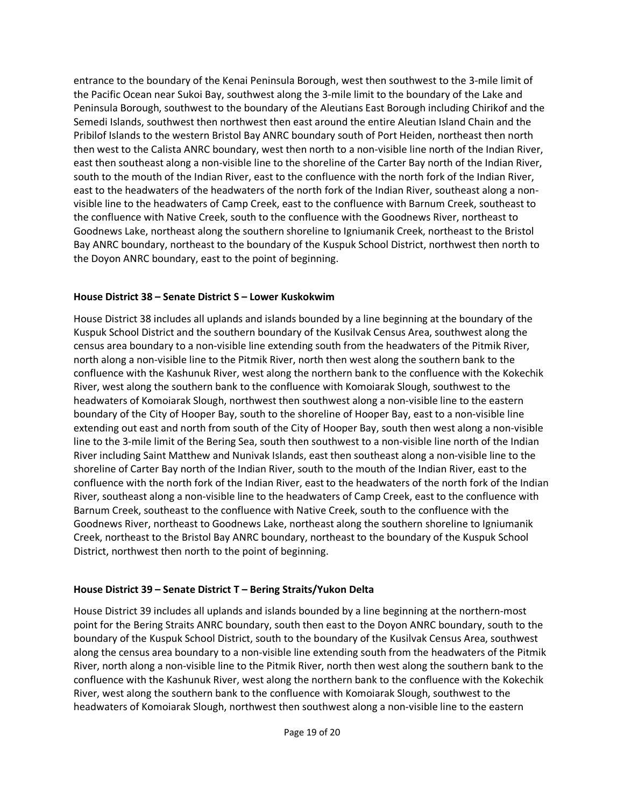entrance to the boundary of the Kenai Peninsula Borough, west then southwest to the 3-mile limit of the Pacific Ocean near Sukoi Bay, southwest along the 3-mile limit to the boundary of the Lake and Peninsula Borough, southwest to the boundary of the Aleutians East Borough including Chirikof and the Semedi Islands, southwest then northwest then east around the entire Aleutian Island Chain and the Pribilof Islands to the western Bristol Bay ANRC boundary south of Port Heiden, northeast then north then west to the Calista ANRC boundary, west then north to a non-visible line north of the Indian River, east then southeast along a non-visible line to the shoreline of the Carter Bay north of the Indian River, south to the mouth of the Indian River, east to the confluence with the north fork of the Indian River, east to the headwaters of the headwaters of the north fork of the Indian River, southeast along a nonvisible line to the headwaters of Camp Creek, east to the confluence with Barnum Creek, southeast to the confluence with Native Creek, south to the confluence with the Goodnews River, northeast to Goodnews Lake, northeast along the southern shoreline to Igniumanik Creek, northeast to the Bristol Bay ANRC boundary, northeast to the boundary of the Kuspuk School District, northwest then north to the Doyon ANRC boundary, east to the point of beginning.

### **House District 38 – Senate District S – Lower Kuskokwim**

House District 38 includes all uplands and islands bounded by a line beginning at the boundary of the Kuspuk School District and the southern boundary of the Kusilvak Census Area, southwest along the census area boundary to a non-visible line extending south from the headwaters of the Pitmik River, north along a non-visible line to the Pitmik River, north then west along the southern bank to the confluence with the Kashunuk River, west along the northern bank to the confluence with the Kokechik River, west along the southern bank to the confluence with Komoiarak Slough, southwest to the headwaters of Komoiarak Slough, northwest then southwest along a non-visible line to the eastern boundary of the City of Hooper Bay, south to the shoreline of Hooper Bay, east to a non-visible line extending out east and north from south of the City of Hooper Bay, south then west along a non-visible line to the 3-mile limit of the Bering Sea, south then southwest to a non-visible line north of the Indian River including Saint Matthew and Nunivak Islands, east then southeast along a non-visible line to the shoreline of Carter Bay north of the Indian River, south to the mouth of the Indian River, east to the confluence with the north fork of the Indian River, east to the headwaters of the north fork of the Indian River, southeast along a non-visible line to the headwaters of Camp Creek, east to the confluence with Barnum Creek, southeast to the confluence with Native Creek, south to the confluence with the Goodnews River, northeast to Goodnews Lake, northeast along the southern shoreline to Igniumanik Creek, northeast to the Bristol Bay ANRC boundary, northeast to the boundary of the Kuspuk School District, northwest then north to the point of beginning.

### **House District 39 – Senate District T – Bering Straits/Yukon Delta**

House District 39 includes all uplands and islands bounded by a line beginning at the northern-most point for the Bering Straits ANRC boundary, south then east to the Doyon ANRC boundary, south to the boundary of the Kuspuk School District, south to the boundary of the Kusilvak Census Area, southwest along the census area boundary to a non-visible line extending south from the headwaters of the Pitmik River, north along a non-visible line to the Pitmik River, north then west along the southern bank to the confluence with the Kashunuk River, west along the northern bank to the confluence with the Kokechik River, west along the southern bank to the confluence with Komoiarak Slough, southwest to the headwaters of Komoiarak Slough, northwest then southwest along a non-visible line to the eastern